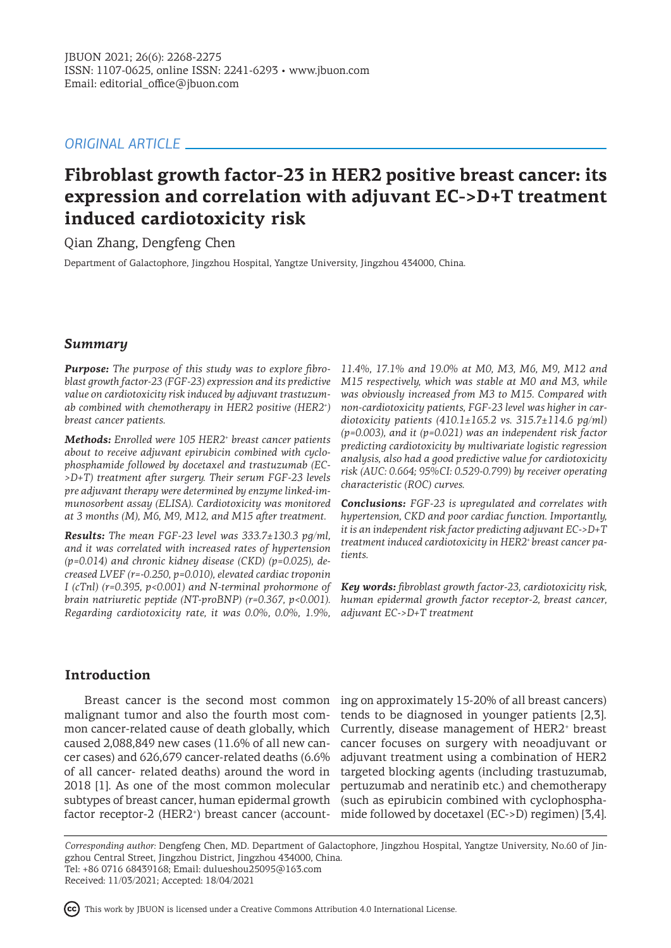# *ORIGINAL ARTICLE*

# **Fibroblast growth factor-23 in HER2 positive breast cancer: its expression and correlation with adjuvant EC->D+T treatment induced cardiotoxicity risk**

Qian Zhang, Dengfeng Chen

Department of Galactophore, Jingzhou Hospital, Yangtze University, Jingzhou 434000, China.

# *Summary*

*Purpose: The purpose of this study was to explore fibroblast growth factor-23 (FGF-23) expression and its predictive value on cardiotoxicity risk induced by adjuvant trastuzumab combined with chemotherapy in HER2 positive (HER2<sup>+</sup> ) breast cancer patients.* 

*Methods: Enrolled were 105 HER2<sup>+</sup> breast cancer patients about to receive adjuvant epirubicin combined with cyclophosphamide followed by docetaxel and trastuzumab (EC- >D+T) treatment after surgery. Their serum FGF-23 levels pre adjuvant therapy were determined by enzyme linked-immunosorbent assay (ELISA). Cardiotoxicity was monitored at 3 months (M), M6, M9, M12, and M15 after treatment.* 

*Results: The mean FGF-23 level was 333.7±130.3 pg/ml, and it was correlated with increased rates of hypertension (p=0.014) and chronic kidney disease (CKD) (p=0.025), decreased LVEF (r=-0.250, p=0.010), elevated cardiac troponin I (cTnl) (r=0.395, p<0.001) and N-terminal prohormone of brain natriuretic peptide (NT-proBNP) (r=0.367, p<0.001). Regarding cardiotoxicity rate, it was 0.0%, 0.0%, 1.9%,* 

*11.4%, 17.1% and 19.0% at M0, M3, M6, M9, M12 and M15 respectively, which was stable at M0 and M3, while was obviously increased from M3 to M15. Compared with non-cardiotoxicity patients, FGF-23 level was higher in cardiotoxicity patients (410.1±165.2 vs. 315.7±114.6 pg/ml) (p=0.003), and it (p=0.021) was an independent risk factor predicting cardiotoxicity by multivariate logistic regression analysis, also had a good predictive value for cardiotoxicity risk (AUC: 0.664; 95%CI: 0.529-0.799) by receiver operating characteristic (ROC) curves.* 

*Conclusions: FGF-23 is upregulated and correlates with hypertension, CKD and poor cardiac function. Importantly, it is an independent risk factor predicting adjuvant EC->D+T treatment induced cardiotoxicity in HER2+ breast cancer patients.*

*Key words: fibroblast growth factor-23, cardiotoxicity risk, human epidermal growth factor receptor-2, breast cancer, adjuvant EC->D+T treatment* 

# **Introduction**

malignant tumor and also the fourth most common cancer-related cause of death globally, which caused 2,088,849 new cases (11.6% of all new cancer cases) and 626,679 cancer-related deaths (6.6% of all cancer- related deaths) around the word in 2018 [1]. As one of the most common molecular subtypes of breast cancer, human epidermal growth (such as epirubicin combined with cyclophospha-

Breast cancer is the second most common ing on approximately 15-20% of all breast cancers) factor receptor-2 (HER2<sup>+</sup>) breast cancer (account- mide followed by docetaxel (EC->D) regimen) [3,4]. tends to be diagnosed in younger patients [2,3]. Currently, disease management of HER2<sup>+</sup> breast cancer focuses on surgery with neoadjuvant or adjuvant treatment using a combination of HER2 targeted blocking agents (including trastuzumab, pertuzumab and neratinib etc.) and chemotherapy

*Corresponding author:* Dengfeng Chen, MD. Department of Galactophore, Jingzhou Hospital, Yangtze University, No.60 of Jingzhou Central Street, Jingzhou District, Jingzhou 434000, China. Tel: +86 0716 68439168; Email: dulueshou25095@163.com

Received: 11/03/2021; Accepted: 18/04/2021

This work by JBUON is licensed under a Creative Commons Attribution 4.0 International License.

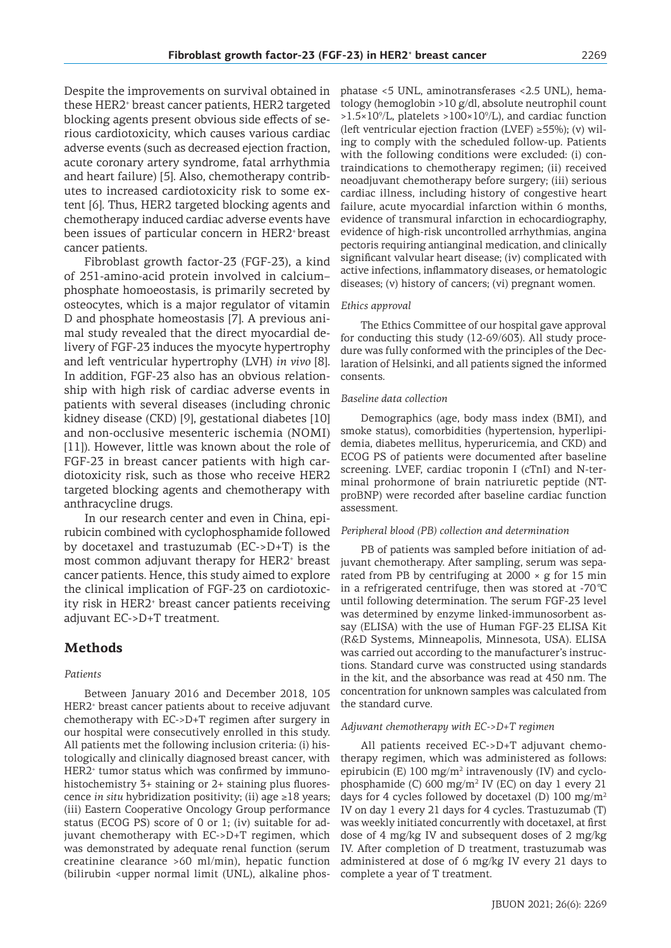Despite the improvements on survival obtained in these HER2<sup>+</sup> breast cancer patients, HER2 targeted blocking agents present obvious side effects of serious cardiotoxicity, which causes various cardiac adverse events (such as decreased ejection fraction, acute coronary artery syndrome, fatal arrhythmia and heart failure) [5]. Also, chemotherapy contributes to increased cardiotoxicity risk to some extent [6]. Thus, HER2 targeted blocking agents and chemotherapy induced cardiac adverse events have been issues of particular concern in HER2<sup>+</sup> breast cancer patients.

Fibroblast growth factor-23 (FGF-23), a kind of 251-amino-acid protein involved in calcium– phosphate homoeostasis, is primarily secreted by osteocytes, which is a major regulator of vitamin D and phosphate homeostasis [7]. A previous animal study revealed that the direct myocardial delivery of FGF-23 induces the myocyte hypertrophy and left ventricular hypertrophy (LVH) *in vivo* [8]. In addition, FGF-23 also has an obvious relationship with high risk of cardiac adverse events in patients with several diseases (including chronic kidney disease (CKD) [9], gestational diabetes [10] and non-occlusive mesenteric ischemia (NOMI) [11]). However, little was known about the role of FGF-23 in breast cancer patients with high cardiotoxicity risk, such as those who receive HER2 targeted blocking agents and chemotherapy with anthracycline drugs.

In our research center and even in China, epirubicin combined with cyclophosphamide followed by docetaxel and trastuzumab (EC->D+T) is the most common adjuvant therapy for HER2<sup>+</sup> breast cancer patients. Hence, this study aimed to explore the clinical implication of FGF-23 on cardiotoxicity risk in HER2<sup>+</sup> breast cancer patients receiving adjuvant EC->D+T treatment.

# **Methods**

### *Patients*

Between January 2016 and December 2018, 105 HER2<sup>+</sup> breast cancer patients about to receive adjuvant chemotherapy with EC->D+T regimen after surgery in our hospital were consecutively enrolled in this study. All patients met the following inclusion criteria: (i) histologically and clinically diagnosed breast cancer, with HER2<sup>+</sup> tumor status which was confirmed by immunohistochemistry 3+ staining or 2+ staining plus fluorescence *in situ* hybridization positivity; (ii) age ≥18 years; (iii) Eastern Cooperative Oncology Group performance status (ECOG PS) score of 0 or 1; (iv) suitable for adjuvant chemotherapy with EC->D+T regimen, which was demonstrated by adequate renal function (serum creatinine clearance >60 ml/min), hepatic function (bilirubin <upper normal limit (UNL), alkaline phosphatase <5 UNL, aminotransferases <2.5 UNL), hematology (hemoglobin >10 g/dl, absolute neutrophil count  $>1.5\times10^9$ /L, platelets  $>100\times10^9$ /L), and cardiac function (left ventricular ejection fraction (LVEF)  $\geq$ 55%); (v) wiling to comply with the scheduled follow-up. Patients with the following conditions were excluded: (i) contraindications to chemotherapy regimen; (ii) received neoadjuvant chemotherapy before surgery; (iii) serious cardiac illness, including history of congestive heart failure, acute myocardial infarction within 6 months, evidence of transmural infarction in echocardiography, evidence of high-risk uncontrolled arrhythmias, angina pectoris requiring antianginal medication, and clinically significant valvular heart disease; (iv) complicated with active infections, inflammatory diseases, or hematologic diseases; (v) history of cancers; (vi) pregnant women.

#### *Ethics approval*

The Ethics Committee of our hospital gave approval for conducting this study (12-69/603). All study procedure was fully conformed with the principles of the Declaration of Helsinki, and all patients signed the informed consents.

#### *Baseline data collection*

Demographics (age, body mass index (BMI), and smoke status), comorbidities (hypertension, hyperlipidemia, diabetes mellitus, hyperuricemia, and CKD) and ECOG PS of patients were documented after baseline screening. LVEF, cardiac troponin I (cTnI) and N-terminal prohormone of brain natriuretic peptide (NTproBNP) were recorded after baseline cardiac function assessment.

#### *Peripheral blood (PB) collection and determination*

PB of patients was sampled before initiation of adjuvant chemotherapy. After sampling, serum was separated from PB by centrifuging at  $2000 \times g$  for 15 min in a refrigerated centrifuge, then was stored at -70 ℃ until following determination. The serum FGF-23 level was determined by enzyme linked-immunosorbent assay (ELISA) with the use of Human FGF-23 ELISA Kit (R&D Systems, Minneapolis, Minnesota, USA). ELISA was carried out according to the manufacturer's instructions. Standard curve was constructed using standards in the kit, and the absorbance was read at 450 nm. The concentration for unknown samples was calculated from the standard curve.

#### *Adjuvant chemotherapy with EC->D+T regimen*

All patients received EC->D+T adjuvant chemotherapy regimen, which was administered as follows: epirubicin (E) 100 mg/m<sup>2</sup> intravenously (IV) and cyclo $phosphamide (C) 600 mg/m<sup>2</sup> IV (EC) on day 1 every 21$ days for 4 cycles followed by docetaxel (D) 100 mg/m<sup>2</sup> IV on day 1 every 21 days for 4 cycles. Trastuzumab (T) was weekly initiated concurrently with docetaxel, at first dose of 4 mg/kg IV and subsequent doses of 2 mg/kg IV. After completion of D treatment, trastuzumab was administered at dose of 6 mg/kg IV every 21 days to complete a year of T treatment.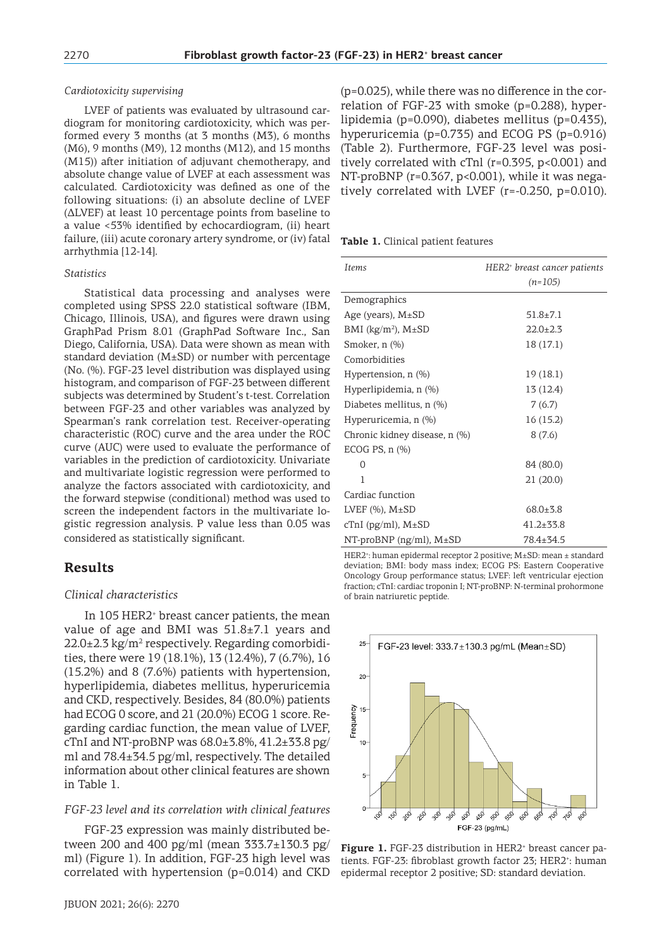### *Cardiotoxicity supervising*

LVEF of patients was evaluated by ultrasound cardiogram for monitoring cardiotoxicity, which was performed every 3 months (at 3 months (M3), 6 months (M6), 9 months (M9), 12 months (M12), and 15 months (M15)) after initiation of adjuvant chemotherapy, and absolute change value of LVEF at each assessment was calculated. Cardiotoxicity was defined as one of the following situations: (i) an absolute decline of LVEF (ΔLVEF) at least 10 percentage points from baseline to a value <53% identified by echocardiogram, (ii) heart failure, (iii) acute coronary artery syndrome, or (iv) fatal arrhythmia [12-14].

#### *Statistics*

Statistical data processing and analyses were completed using SPSS 22.0 statistical software (IBM, Chicago, Illinois, USA), and figures were drawn using GraphPad Prism 8.01 (GraphPad Software Inc., San Diego, California, USA). Data were shown as mean with standard deviation  $(M\pm SD)$  or number with percentage (No. (%). FGF-23 level distribution was displayed using histogram, and comparison of FGF-23 between different subjects was determined by Student's t-test. Correlation between FGF-23 and other variables was analyzed by Spearman's rank correlation test. Receiver-operating characteristic (ROC) curve and the area under the ROC curve (AUC) were used to evaluate the performance of variables in the prediction of cardiotoxicity. Univariate and multivariate logistic regression were performed to analyze the factors associated with cardiotoxicity, and the forward stepwise (conditional) method was used to screen the independent factors in the multivariate logistic regression analysis. P value less than 0.05 was considered as statistically significant.

### **Results**

### *Clinical characteristics*

In 105 HER2<sup>+</sup> breast cancer patients, the mean value of age and BMI was 51.8±7.1 years and  $22.0\pm2.3$  kg/m<sup>2</sup> respectively. Regarding comorbidities, there were 19 (18.1%), 13 (12.4%), 7 (6.7%), 16 (15.2%) and 8 (7.6%) patients with hypertension, hyperlipidemia, diabetes mellitus, hyperuricemia and CKD, respectively. Besides, 84 (80.0%) patients had ECOG 0 score, and 21 (20.0%) ECOG 1 score. Regarding cardiac function, the mean value of LVEF, cTnI and NT-proBNP was  $68.0\pm3.8\%$ ,  $41.2\pm33.8$  pg/ ml and 78.4±34.5 pg/ml, respectively. The detailed information about other clinical features are shown in Table 1.

#### *FGF-23 level and its correlation with clinical features*

FGF-23 expression was mainly distributed between 200 and 400 pg/ml (mean 333.7±130.3 pg/ ml) (Figure 1). In addition, FGF-23 high level was correlated with hypertension (p=0.014) and CKD (p=0.025), while there was no difference in the correlation of FGF-23 with smoke (p=0.288), hyperlipidemia (p=0.090), diabetes mellitus (p=0.435), hyperuricemia (p=0.735) and ECOG PS (p=0.916) (Table 2). Furthermore, FGF-23 level was positively correlated with cTnl (r=0.395, p<0.001) and NT-proBNP (r=0.367, p<0.001), while it was negatively correlated with LVEF (r=-0.250, p=0.010).

**Table 1.** Clinical patient features

| <b>Items</b>                  | HER2+ breast cancer patients<br>$(n=105)$ |
|-------------------------------|-------------------------------------------|
| Demographics                  |                                           |
| Age (years), $M\pm SD$        | $51.8 \pm 7.1$                            |
| BMI ( $kg/m^2$ ), M $\pm$ SD  | $22.0 \pm 2.3$                            |
| Smoker, n (%)                 | 18 (17.1)                                 |
| Comorbidities                 |                                           |
| Hypertension, $n$ $(\%)$      | 19(18.1)                                  |
| Hyperlipidemia, n (%)         | 13 (12.4)                                 |
| Diabetes mellitus, n (%)      | 7(6.7)                                    |
| Hyperuricemia, n (%)          | 16 (15.2)                                 |
| Chronic kidney disease, n (%) | 8(7.6)                                    |
| $ECOG PS, n (\%)$             |                                           |
| $\Omega$                      | 84 (80.0)                                 |
| 1                             | 21 (20.0)                                 |
| Cardiac function              |                                           |
| LVEF $(\%)$ , M $\pm$ SD      | $68.0 + 3.8$                              |
| cTnI ( $pg/ml$ ), $M±SD$      | $41.2 \pm 33.8$                           |
| $NT-proBNP$ (ng/ml), $M±SD$   | 78.4±34.5                                 |

HER2<sup>+</sup> : human epidermal receptor 2 positive; M±SD: mean ± standard deviation; BMI: body mass index; ECOG PS: Eastern Cooperative Oncology Group performance status; LVEF: left ventricular ejection fraction; cTnI: cardiac troponin I; NT-proBNP: N-terminal prohormone of brain natriuretic peptide.



Figure 1. FGF-23 distribution in HER2<sup>+</sup> breast cancer patients. FGF-23: fibroblast growth factor 23; HER2<sup>+</sup>: human epidermal receptor 2 positive; SD: standard deviation.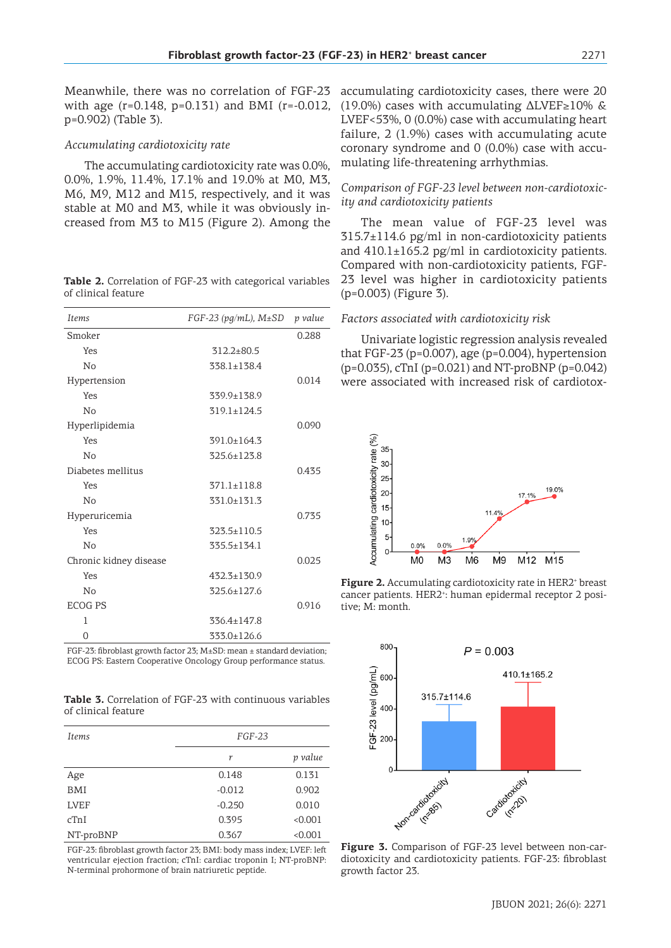### *Accumulating cardiotoxicity rate*

The accumulating cardiotoxicity rate was 0.0%, 0.0%, 1.9%, 11.4%, 17.1% and 19.0% at M0, M3, M6, M9, M12 and M15, respectively, and it was stable at M0 and M3, while it was obviously increased from M3 to M15 (Figure 2). Among the

| <b>Table 2.</b> Correlation of FGF-23 with categorical variables |  |  |  |
|------------------------------------------------------------------|--|--|--|
| of clinical feature                                              |  |  |  |

| <b>Items</b>           | FGF-23 (pg/mL), $M\pm SD$ | p value |
|------------------------|---------------------------|---------|
| Smoker                 |                           | 0.288   |
| Yes                    | $312.2 \pm 80.5$          |         |
| No                     | $338.1 \pm 138.4$         |         |
| Hypertension           |                           | 0.014   |
| Yes                    | 339.9±138.9               |         |
| No                     | 319.1±124.5               |         |
| Hyperlipidemia         |                           | 0.090   |
| Yes                    | $391.0 \pm 164.3$         |         |
| No                     | 325.6±123.8               |         |
| Diabetes mellitus      |                           | 0.435   |
| Yes                    | $371.1 \pm 118.8$         |         |
| No                     | 331.0±131.3               |         |
| Hyperuricemia          |                           | 0.735   |
| Yes                    | $323.5 \pm 110.5$         |         |
| No                     | 335.5±134.1               |         |
| Chronic kidney disease |                           | 0.025   |
| Yes                    | 432.3±130.9               |         |
| No                     | 325.6±127.6               |         |
| <b>ECOG PS</b>         |                           | 0.916   |
| 1                      | $336.4 \pm 147.8$         |         |
| 0                      | 333.0±126.6               |         |

FGF-23: fibroblast growth factor 23; M±SD: mean ± standard deviation; ECOG PS: Eastern Cooperative Oncology Group performance status.

**Table 3.** Correlation of FGF-23 with continuous variables of clinical feature

| <b>Items</b> | $FGF-23$ |         |
|--------------|----------|---------|
|              | r        | p value |
| Age          | 0.148    | 0.131   |
| BMI          | $-0.012$ | 0.902   |
| <b>LVEF</b>  | $-0.250$ | 0.010   |
| cTnI         | 0.395    | < 0.001 |
| NT-proBNP    | 0.367    | < 0.001 |

FGF-23: fibroblast growth factor 23; BMI: body mass index; LVEF: left ventricular ejection fraction; cTnI: cardiac troponin I; NT-proBNP: N-terminal prohormone of brain natriuretic peptide.

accumulating cardiotoxicity cases, there were 20 (19.0%) cases with accumulating  $\Delta$ LVEF≥10% & LVEF<53%, 0 (0.0%) case with accumulating heart failure, 2 (1.9%) cases with accumulating acute coronary syndrome and 0 (0.0%) case with accumulating life-threatening arrhythmias.

### *Comparison of FGF-23 level between non-cardiotoxicity and cardiotoxicity patients*

The mean value of FGF-23 level was 315.7±114.6 pg/ml in non-cardiotoxicity patients and  $410.1\pm165.2$  pg/ml in cardiotoxicity patients. Compared with non-cardiotoxicity patients, FGF-23 level was higher in cardiotoxicity patients (p=0.003) (Figure 3).

### *Factors associated with cardiotoxicity risk*

Univariate logistic regression analysis revealed that FGF-23 ( $p=0.007$ ), age ( $p=0.004$ ), hypertension (p=0.035), cTnI (p=0.021) and NT-proBNP (p=0.042) were associated with increased risk of cardiotox-



**Figure 2.** Accumulating cardiotoxicity rate in HER2<sup>+</sup> breast cancer patients. HER2<sup>+</sup>: human epidermal receptor 2 positive; M: month.



**Figure 3.** Comparison of FGF-23 level between non-cardiotoxicity and cardiotoxicity patients. FGF-23: fibroblast growth factor 23.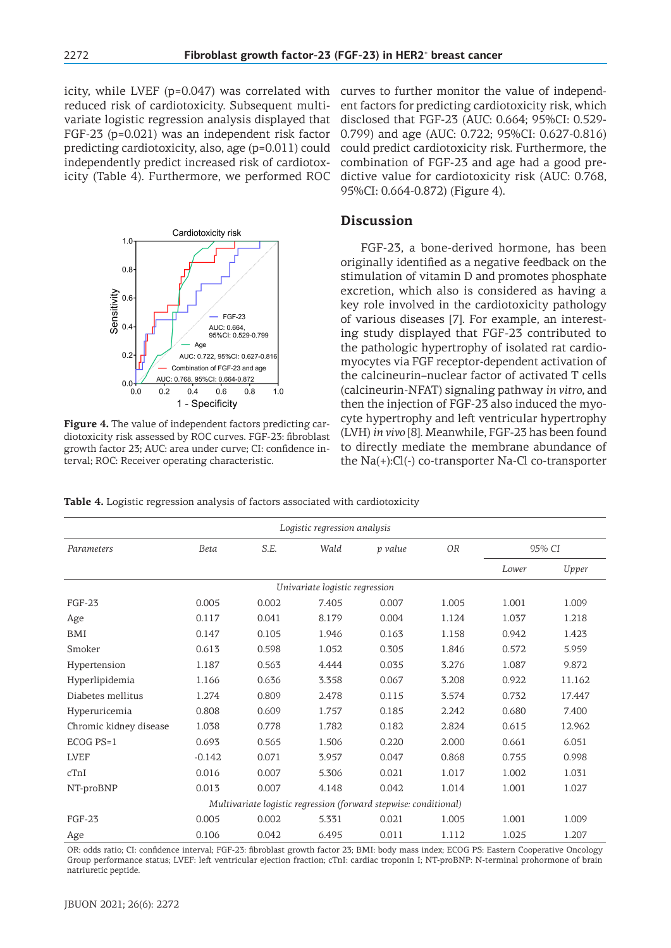icity, while LVEF (p=0.047) was correlated with reduced risk of cardiotoxicity. Subsequent multivariate logistic regression analysis displayed that FGF-23 (p=0.021) was an independent risk factor predicting cardiotoxicity, also, age (p=0.011) could independently predict increased risk of cardiotoxicity (Table 4). Furthermore, we performed ROC



**Figure 4.** The value of independent factors predicting cardiotoxicity risk assessed by ROC curves. FGF-23: fibroblast growth factor 23; AUC: area under curve; CI: confidence interval; ROC: Receiver operating characteristic.

curves to further monitor the value of independent factors for predicting cardiotoxicity risk, which disclosed that FGF-23 (AUC: 0.664; 95%CI: 0.529- 0.799) and age (AUC: 0.722; 95%CI: 0.627-0.816) could predict cardiotoxicity risk. Furthermore, the combination of FGF-23 and age had a good predictive value for cardiotoxicity risk (AUC: 0.768, 95%CI: 0.664-0.872) (Figure 4).

# **Discussion**

FGF-23, a bone-derived hormone, has been originally identified as a negative feedback on the stimulation of vitamin D and promotes phosphate excretion, which also is considered as having a key role involved in the cardiotoxicity pathology of various diseases [7]. For example, an interesting study displayed that FGF-23 contributed to the pathologic hypertrophy of isolated rat cardiomyocytes via FGF receptor-dependent activation of the calcineurin–nuclear factor of activated T cells (calcineurin-NFAT) signaling pathway *in vitro*, and then the injection of FGF-23 also induced the myocyte hypertrophy and left ventricular hypertrophy (LVH) *in vivo* [8]. Meanwhile, FGF-23 has been found to directly mediate the membrane abundance of the Na(+):Cl(-) co-transporter Na-Cl co-transporter

**Table 4.** Logistic regression analysis of factors associated with cardiotoxicity

| Logistic regression analysis                                     |          |       |       |         |           |        |        |
|------------------------------------------------------------------|----------|-------|-------|---------|-----------|--------|--------|
| Parameters                                                       | Beta     | S.E.  | Wald  | p value | <b>OR</b> | 95% CI |        |
|                                                                  |          |       |       |         |           | Lower  | Upper  |
| Univariate logistic regression                                   |          |       |       |         |           |        |        |
| <b>FGF-23</b>                                                    | 0.005    | 0.002 | 7.405 | 0.007   | 1.005     | 1.001  | 1.009  |
| Age                                                              | 0.117    | 0.041 | 8.179 | 0.004   | 1.124     | 1.037  | 1.218  |
| <b>BMI</b>                                                       | 0.147    | 0.105 | 1.946 | 0.163   | 1.158     | 0.942  | 1.423  |
| Smoker                                                           | 0.613    | 0.598 | 1.052 | 0.305   | 1.846     | 0.572  | 5.959  |
| Hypertension                                                     | 1.187    | 0.563 | 4.444 | 0.035   | 3.276     | 1.087  | 9.872  |
| Hyperlipidemia                                                   | 1.166    | 0.636 | 3.358 | 0.067   | 3.208     | 0.922  | 11.162 |
| Diabetes mellitus                                                | 1.274    | 0.809 | 2.478 | 0.115   | 3.574     | 0.732  | 17.447 |
| Hyperuricemia                                                    | 0.808    | 0.609 | 1.757 | 0.185   | 2.242     | 0.680  | 7.400  |
| Chromic kidney disease                                           | 1.038    | 0.778 | 1.782 | 0.182   | 2.824     | 0.615  | 12.962 |
| $ECOG PS=1$                                                      | 0.693    | 0.565 | 1.506 | 0.220   | 2.000     | 0.661  | 6.051  |
| <b>LVEF</b>                                                      | $-0.142$ | 0.071 | 3.957 | 0.047   | 0.868     | 0.755  | 0.998  |
| cTnI                                                             | 0.016    | 0.007 | 5.306 | 0.021   | 1.017     | 1.002  | 1.031  |
| NT-proBNP                                                        | 0.013    | 0.007 | 4.148 | 0.042   | 1.014     | 1.001  | 1.027  |
| Multivariate logistic regression (forward stepwise: conditional) |          |       |       |         |           |        |        |
| <b>FGF-23</b>                                                    | 0.005    | 0.002 | 5.331 | 0.021   | 1.005     | 1.001  | 1.009  |
| Age                                                              | 0.106    | 0.042 | 6.495 | 0.011   | 1.112     | 1.025  | 1.207  |

OR: odds ratio; CI: confidence interval; FGF-23: fibroblast growth factor 23; BMI: body mass index; ECOG PS: Eastern Cooperative Oncology Group performance status; LVEF: left ventricular ejection fraction; cTnI: cardiac troponin I; NT-proBNP: N-terminal prohormone of brain natriuretic peptide.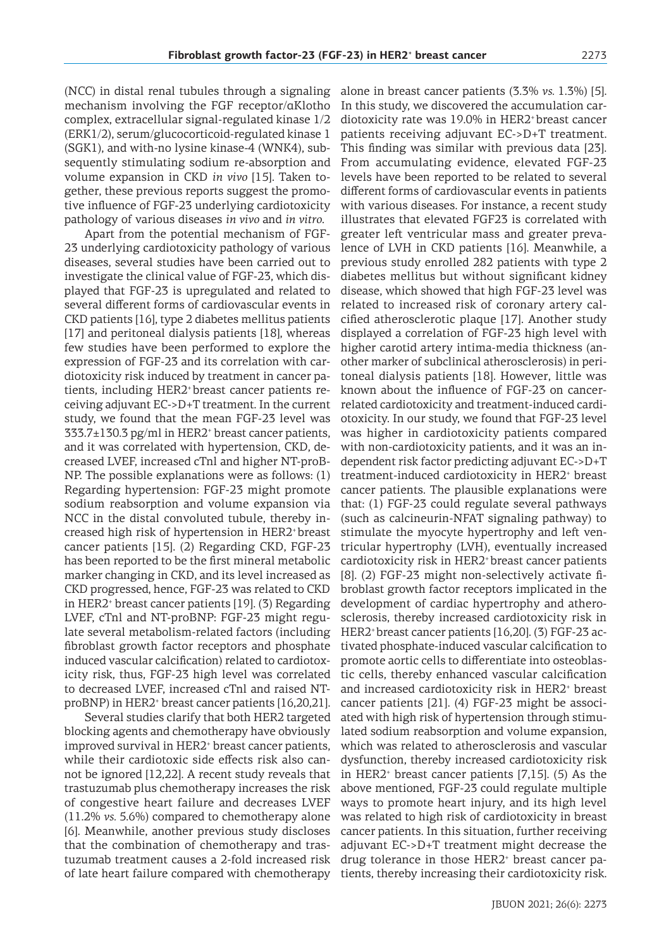(NCC) in distal renal tubules through a signaling mechanism involving the FGF receptor/αKlotho complex, extracellular signal-regulated kinase 1/2 (ERK1/2), serum/glucocorticoid-regulated kinase 1 (SGK1), and with-no lysine kinase-4 (WNK4), subsequently stimulating sodium re-absorption and volume expansion in CKD *in vivo* [15]. Taken together, these previous reports suggest the promotive influence of FGF-23 underlying cardiotoxicity pathology of various diseases *in vivo* and *in vitro*.

Apart from the potential mechanism of FGF-23 underlying cardiotoxicity pathology of various diseases, several studies have been carried out to investigate the clinical value of FGF-23, which displayed that FGF-23 is upregulated and related to several different forms of cardiovascular events in CKD patients [16], type 2 diabetes mellitus patients [17] and peritoneal dialysis patients [18], whereas few studies have been performed to explore the expression of FGF-23 and its correlation with cardiotoxicity risk induced by treatment in cancer patients, including HER2<sup>+</sup> breast cancer patients receiving adjuvant EC->D+T treatment. In the current study, we found that the mean FGF-23 level was 333.7±130.3 pg/ml in HER2<sup>+</sup> breast cancer patients, and it was correlated with hypertension, CKD, decreased LVEF, increased cTnl and higher NT-proB-NP. The possible explanations were as follows: (1) Regarding hypertension: FGF-23 might promote sodium reabsorption and volume expansion via NCC in the distal convoluted tubule, thereby increased high risk of hypertension in HER2<sup>+</sup> breast cancer patients [15]. (2) Regarding CKD, FGF-23 has been reported to be the first mineral metabolic marker changing in CKD, and its level increased as CKD progressed, hence, FGF-23 was related to CKD in HER2<sup>+</sup> breast cancer patients [19]. (3) Regarding LVEF, cTnl and NT-proBNP: FGF-23 might regulate several metabolism-related factors (including fibroblast growth factor receptors and phosphate induced vascular calcification) related to cardiotoxicity risk, thus, FGF-23 high level was correlated to decreased LVEF, increased cTnl and raised NTproBNP) in HER2<sup>+</sup> breast cancer patients [16,20,21].

Several studies clarify that both HER2 targeted blocking agents and chemotherapy have obviously improved survival in HER2<sup>+</sup> breast cancer patients, while their cardiotoxic side effects risk also cannot be ignored [12,22]. A recent study reveals that trastuzumab plus chemotherapy increases the risk of congestive heart failure and decreases LVEF (11.2% *vs.* 5.6%) compared to chemotherapy alone [6]. Meanwhile, another previous study discloses that the combination of chemotherapy and trastuzumab treatment causes a 2-fold increased risk of late heart failure compared with chemotherapy

alone in breast cancer patients (3.3% *vs.* 1.3%) [5]. In this study, we discovered the accumulation cardiotoxicity rate was 19.0% in HER2<sup>+</sup> breast cancer patients receiving adjuvant EC->D+T treatment. This finding was similar with previous data [23]. From accumulating evidence, elevated FGF-23 levels have been reported to be related to several different forms of cardiovascular events in patients with various diseases. For instance, a recent study illustrates that elevated FGF23 is correlated with greater left ventricular mass and greater prevalence of LVH in CKD patients [16]. Meanwhile, a previous study enrolled 282 patients with type 2 diabetes mellitus but without significant kidney disease, which showed that high FGF-23 level was related to increased risk of coronary artery calcified atherosclerotic plaque [17]. Another study displayed a correlation of FGF-23 high level with higher carotid artery intima-media thickness (another marker of subclinical atherosclerosis) in peritoneal dialysis patients [18]. However, little was known about the influence of FGF-23 on cancerrelated cardiotoxicity and treatment-induced cardiotoxicity. In our study, we found that FGF-23 level was higher in cardiotoxicity patients compared with non-cardiotoxicity patients, and it was an independent risk factor predicting adjuvant EC->D+T treatment-induced cardiotoxicity in HER2<sup>+</sup> breast cancer patients. The plausible explanations were that: (1) FGF-23 could regulate several pathways (such as calcineurin-NFAT signaling pathway) to stimulate the myocyte hypertrophy and left ventricular hypertrophy (LVH), eventually increased cardiotoxicity risk in HER2<sup>+</sup> breast cancer patients [8]. (2) FGF-23 might non-selectively activate fibroblast growth factor receptors implicated in the development of cardiac hypertrophy and atherosclerosis, thereby increased cardiotoxicity risk in HER2<sup>+</sup> breast cancer patients [16,20]. (3) FGF-23 activated phosphate-induced vascular calcification to promote aortic cells to differentiate into osteoblastic cells, thereby enhanced vascular calcification and increased cardiotoxicity risk in HER2<sup>+</sup> breast cancer patients [21]. (4) FGF-23 might be associated with high risk of hypertension through stimulated sodium reabsorption and volume expansion, which was related to atherosclerosis and vascular dysfunction, thereby increased cardiotoxicity risk in HER2<sup>+</sup> breast cancer patients [7,15]. (5) As the above mentioned, FGF-23 could regulate multiple ways to promote heart injury, and its high level was related to high risk of cardiotoxicity in breast cancer patients. In this situation, further receiving adjuvant EC->D+T treatment might decrease the drug tolerance in those HER2<sup>+</sup> breast cancer patients, thereby increasing their cardiotoxicity risk.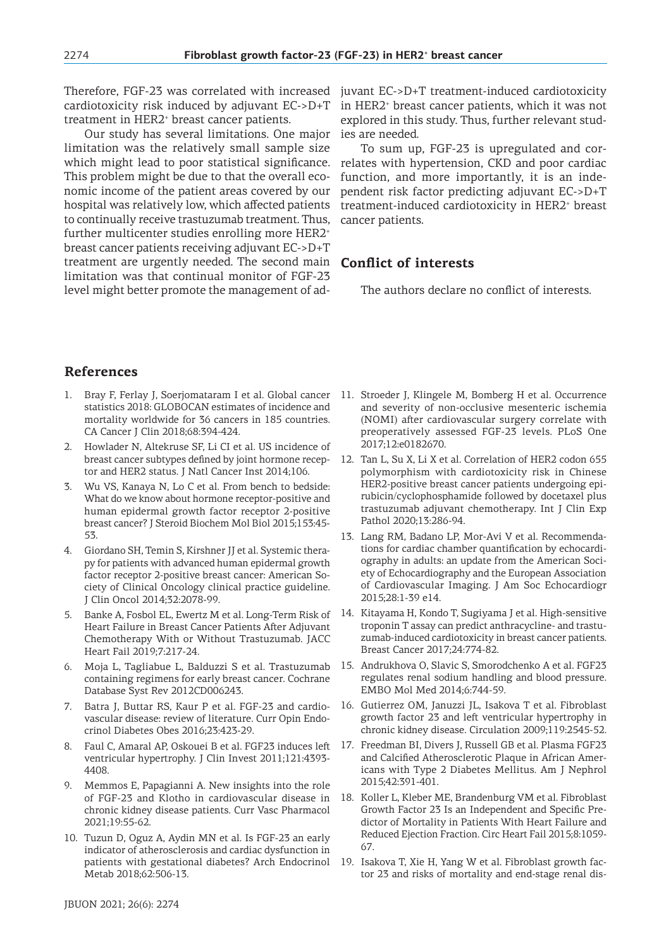Therefore, FGF-23 was correlated with increased cardiotoxicity risk induced by adjuvant EC->D+T treatment in HER2<sup>+</sup> breast cancer patients.

Our study has several limitations. One major limitation was the relatively small sample size which might lead to poor statistical significance. This problem might be due to that the overall economic income of the patient areas covered by our hospital was relatively low, which affected patients to continually receive trastuzumab treatment. Thus, further multicenter studies enrolling more HER2<sup>+</sup> breast cancer patients receiving adjuvant EC->D+T treatment are urgently needed. The second main limitation was that continual monitor of FGF-23 level might better promote the management of ad-

juvant EC->D+T treatment-induced cardiotoxicity in HER2<sup>+</sup> breast cancer patients, which it was not explored in this study. Thus, further relevant studies are needed.

To sum up, FGF-23 is upregulated and correlates with hypertension, CKD and poor cardiac function, and more importantly, it is an independent risk factor predicting adjuvant EC->D+T treatment-induced cardiotoxicity in HER2<sup>+</sup> breast cancer patients.

# **Conflict of interests**

The authors declare no conflict of interests.

# **References**

- statistics 2018: GLOBOCAN estimates of incidence and mortality worldwide for 36 cancers in 185 countries. CA Cancer J Clin 2018;68:394-424.
- 2. Howlader N, Altekruse SF, Li CI et al. US incidence of breast cancer subtypes defined by joint hormone receptor and HER2 status. J Natl Cancer Inst 2014;106.
- 3. Wu VS, Kanaya N, Lo C et al. From bench to bedside: What do we know about hormone receptor-positive and human epidermal growth factor receptor 2-positive breast cancer? J Steroid Biochem Mol Biol 2015;153:45- 53.
- 4. Giordano SH, Temin S, Kirshner JJ et al. Systemic therapy for patients with advanced human epidermal growth factor receptor 2-positive breast cancer: American Society of Clinical Oncology clinical practice guideline. J Clin Oncol 2014;32:2078-99.
- 5. Banke A, Fosbol EL, Ewertz M et al. Long-Term Risk of Heart Failure in Breast Cancer Patients After Adjuvant Chemotherapy With or Without Trastuzumab. JACC Heart Fail 2019;7:217-24.
- 6. Moja L, Tagliabue L, Balduzzi S et al. Trastuzumab containing regimens for early breast cancer. Cochrane Database Syst Rev 2012CD006243.
- 7. Batra J, Buttar RS, Kaur P et al. FGF-23 and cardiovascular disease: review of literature. Curr Opin Endocrinol Diabetes Obes 2016;23:423-29.
- 8. Faul C, Amaral AP, Oskouei B et al. FGF23 induces left ventricular hypertrophy. J Clin Invest 2011;121:4393- 4408.
- 9. Memmos E, Papagianni A. New insights into the role of FGF-23 and Klotho in cardiovascular disease in chronic kidney disease patients. Curr Vasc Pharmacol 2021;19:55-62.
- 10. Tuzun D, Oguz A, Aydin MN et al. Is FGF-23 an early indicator of atherosclerosis and cardiac dysfunction in patients with gestational diabetes? Arch Endocrinol Metab 2018;62:506-13.
- 1. Bray F, Ferlay J, Soerjomataram I et al. Global cancer 11. Stroeder J, Klingele M, Bomberg H et al. Occurrence and severity of non-occlusive mesenteric ischemia (NOMI) after cardiovascular surgery correlate with preoperatively assessed FGF-23 levels. PLoS One 2017;12:e0182670.
	- 12. Tan L, Su X, Li X et al. Correlation of HER2 codon 655 polymorphism with cardiotoxicity risk in Chinese HER2-positive breast cancer patients undergoing epirubicin/cyclophosphamide followed by docetaxel plus trastuzumab adjuvant chemotherapy. Int J Clin Exp Pathol 2020;13:286-94.
	- 13. Lang RM, Badano LP, Mor-Avi V et al. Recommendations for cardiac chamber quantification by echocardiography in adults: an update from the American Society of Echocardiography and the European Association of Cardiovascular Imaging. J Am Soc Echocardiogr 2015;28:1-39 e14.
	- 14. Kitayama H, Kondo T, Sugiyama J et al. High-sensitive troponin T assay can predict anthracycline- and trastuzumab-induced cardiotoxicity in breast cancer patients. Breast Cancer 2017;24:774-82.
	- 15. Andrukhova O, Slavic S, Smorodchenko A et al. FGF23 regulates renal sodium handling and blood pressure. EMBO Mol Med 2014;6:744-59.
	- 16. Gutierrez OM, Januzzi JL, Isakova T et al. Fibroblast growth factor 23 and left ventricular hypertrophy in chronic kidney disease. Circulation 2009;119:2545-52.
	- 17. Freedman BI, Divers J, Russell GB et al. Plasma FGF23 and Calcified Atherosclerotic Plaque in African Americans with Type 2 Diabetes Mellitus. Am J Nephrol 2015;42:391-401.
	- 18. Koller L, Kleber ME, Brandenburg VM et al. Fibroblast Growth Factor 23 Is an Independent and Specific Predictor of Mortality in Patients With Heart Failure and Reduced Ejection Fraction. Circ Heart Fail 2015;8:1059- 67.
	- 19. Isakova T, Xie H, Yang W et al. Fibroblast growth factor 23 and risks of mortality and end-stage renal dis-